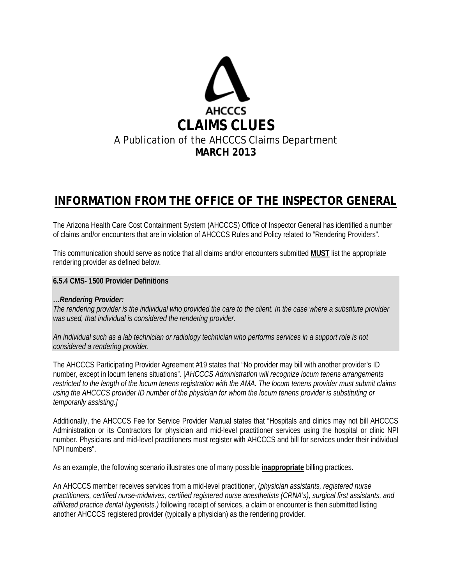

# **INFORMATION FROM THE OFFICE OF THE INSPECTOR GENERAL**

The Arizona Health Care Cost Containment System (AHCCCS) Office of Inspector General has identified a number of claims and/or encounters that are in violation of AHCCCS Rules and Policy related to "Rendering Providers".

This communication should serve as notice that all claims and/or encounters submitted **MUST** list the appropriate rendering provider as defined below.

#### **6.5.4 CMS- 1500 Provider Definitions**

#### *…Rendering Provider:*

*The rendering provider is the individual who provided the care to the client. In the case where a substitute provider was used, that individual is considered the rendering provider.* 

*An individual such as a lab technician or radiology technician who performs services in a support role is not considered a rendering provider.* 

The AHCCCS Participating Provider Agreement #19 states that "No provider may bill with another provider's ID number, except in locum tenens situations". [*AHCCCS Administration will recognize locum tenens arrangements restricted to the length of the locum tenens registration with the AMA. The locum tenens provider must submit claims using the AHCCCS provider ID number of the physician for whom the locum tenens provider is substituting or temporarily assisting.]*

Additionally, the AHCCCS Fee for Service Provider Manual states that "Hospitals and clinics may not bill AHCCCS Administration or its Contractors for physician and mid-level practitioner services using the hospital or clinic NPI number. Physicians and mid-level practitioners must register with AHCCCS and bill for services under their individual NPI numbers".

As an example, the following scenario illustrates one of many possible **inappropriate** billing practices.

An AHCCCS member receives services from a mid-level practitioner, (*physician assistants, registered nurse practitioners, certified nurse-midwives, certified registered nurse anesthetists (CRNA's), surgical first assistants, and affiliated practice dental hygienists.)* following receipt of services, a claim or encounter is then submitted listing another AHCCCS registered provider (typically a physician) as the rendering provider.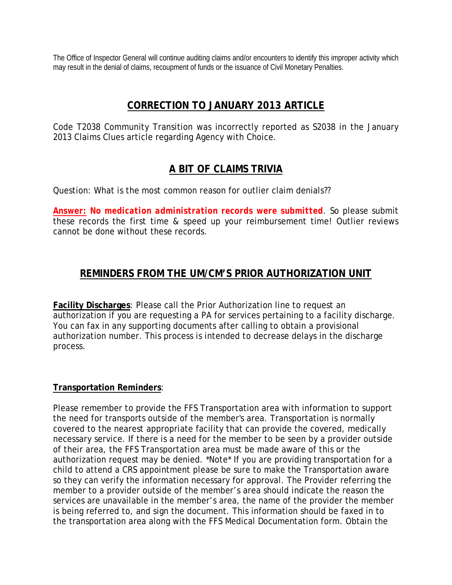The Office of Inspector General will continue auditing claims and/or encounters to identify this improper activity which may result in the denial of claims, recoupment of funds or the issuance of Civil Monetary Penalties.

## **CORRECTION TO JANUARY 2013 ARTICLE**

Code T2038 Community Transition was incorrectly reported as S2038 in the January 2013 Claims Clues article regarding Agency with Choice.

## **A BIT OF CLAIMS TRIVIA**

Question: What is the most common reason for outlier claim denials??

*Answer: No medication administration records were submitted*. So please submit these records the first time & speed up your reimbursement time! Outlier reviews cannot be done without these records.

## **REMINDERS FROM THE UM/CM'S PRIOR AUTHORIZATION UNIT**

**Facility Discharges**: Please call the Prior Authorization line to request an authorization if you are requesting a PA for services pertaining to a facility discharge. You can fax in any supporting documents after calling to obtain a provisional authorization number. This process is intended to decrease delays in the discharge process.

### **Transportation Reminders**:

Please remember to provide the FFS Transportation area with information to support the need for transports outside of the member's area. Transportation is normally covered to the nearest appropriate facility that can provide the covered, medically necessary service. If there is a need for the member to be seen by a provider outside of their area, the FFS Transportation area must be made aware of this or the authorization request may be denied. \*Note\* If you are providing transportation for a child to attend a CRS appointment please be sure to make the Transportation aware so they can verify the information necessary for approval. The Provider referring the member to a provider outside of the member's area should indicate the reason the services are unavailable in the member's area, the name of the provider the member is being referred to, and sign the document. This information should be faxed in to the transportation area along with the FFS Medical Documentation form. Obtain the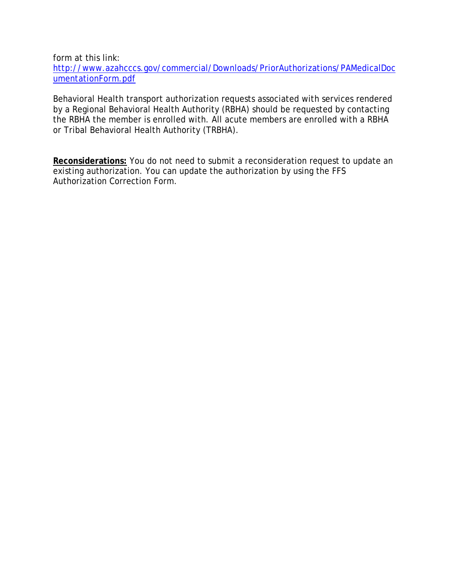form at this link:

[http://www.azahcccs.gov/commercial/Downloads/PriorAuthorizations/PAMedicalDoc](http://www.azahcccs.gov/commercial/Downloads/PriorAuthorizations/PAMedicalDocumentationForm.pdf) [umentationForm.pdf](http://www.azahcccs.gov/commercial/Downloads/PriorAuthorizations/PAMedicalDocumentationForm.pdf)

Behavioral Health transport authorization requests associated with services rendered by a Regional Behavioral Health Authority (RBHA) should be requested by contacting the RBHA the member is enrolled with. All acute members are enrolled with a RBHA or Tribal Behavioral Health Authority (TRBHA).

**Reconsiderations:** You do not need to submit a reconsideration request to update an existing authorization. You can update the authorization by using the FFS Authorization Correction Form.